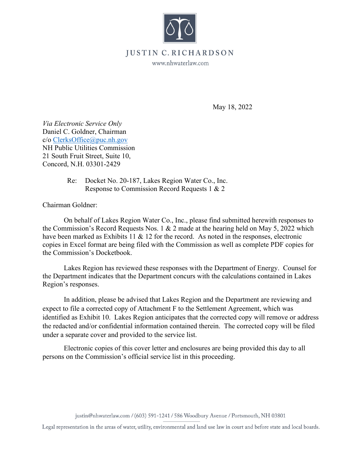

## **JUSTIN** • **C. RICHARDSON**

www.nhwaterlaw.com

May 18, 2022

*Via Electronic Service Only*  Daniel C. Goldner, Chairman c/o ClerksOffice@puc.nh.gov NH Public Utilities Commission 21 South Fruit Street, Suite 10, Concord, N.H. 03301-2429

> Re: Docket No. 20-187, Lakes Region Water Co., Inc. Response to Commission Record Requests 1 & 2

Chairman Goldner:

On behalf of Lakes Region Water Co., Inc., please find submitted herewith responses to the Commission's Record Requests Nos. 1 & 2 made at the hearing held on May 5, 2022 which have been marked as Exhibits 11 & 12 for the record. As noted in the responses, electronic copies in Excel format are being filed with the Commission as well as complete PDF copies for the Commission's Docketbook.

Lakes Region has reviewed these responses with the Department of Energy. Counsel for the Department indicates that the Department concurs with the calculations contained in Lakes Region's responses.

 In addition, please be advised that Lakes Region and the Department are reviewing and expect to file a corrected copy of Attachment F to the Settlement Agreement, which was identified as Exhibit 10. Lakes Region anticipates that the corrected copy will remove or address the redacted and/or confidential information contained therein. The corrected copy will be filed under a separate cover and provided to the service list.

Electronic copies of this cover letter and enclosures are being provided this day to all persons on the Commission's official service list in this proceeding.

justin@nhwaterlaw.com / (603) 591-1241 / 586 Woodbury Avenue/ Portsmouth, **NH** 03801

Legal representation in the areas of water, utility, environmental and land use law in court and before state and local boards.